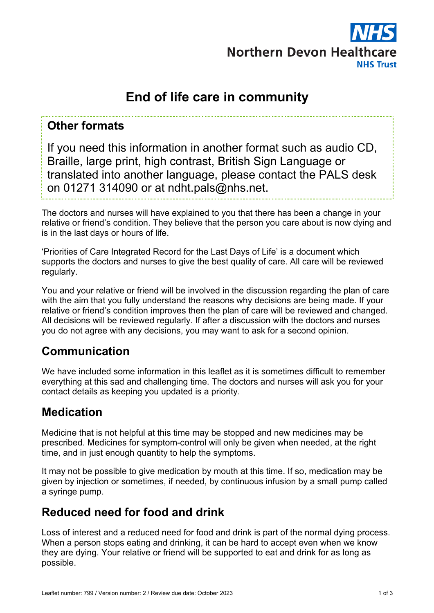

# **End of life care in community**

#### **Other formats**

If you need this information in another format such as audio CD, Braille, large print, high contrast, British Sign Language or translated into another language, please contact the PALS desk on 01271 314090 or at ndht.pals@nhs.net.

The doctors and nurses will have explained to you that there has been a change in your relative or friend's condition. They believe that the person you care about is now dying and is in the last days or hours of life.

'Priorities of Care Integrated Record for the Last Days of Life' is a document which supports the doctors and nurses to give the best quality of care. All care will be reviewed regularly.

You and your relative or friend will be involved in the discussion regarding the plan of care with the aim that you fully understand the reasons why decisions are being made. If your relative or friend's condition improves then the plan of care will be reviewed and changed. All decisions will be reviewed regularly. If after a discussion with the doctors and nurses you do not agree with any decisions, you may want to ask for a second opinion.

### **Communication**

We have included some information in this leaflet as it is sometimes difficult to remember everything at this sad and challenging time. The doctors and nurses will ask you for your contact details as keeping you updated is a priority.

### **Medication**

Medicine that is not helpful at this time may be stopped and new medicines may be prescribed. Medicines for symptom-control will only be given when needed, at the right time, and in just enough quantity to help the symptoms.

It may not be possible to give medication by mouth at this time. If so, medication may be given by injection or sometimes, if needed, by continuous infusion by a small pump called a syringe pump.

#### **Reduced need for food and drink**

Loss of interest and a reduced need for food and drink is part of the normal dying process. When a person stops eating and drinking, it can be hard to accept even when we know they are dying. Your relative or friend will be supported to eat and drink for as long as possible.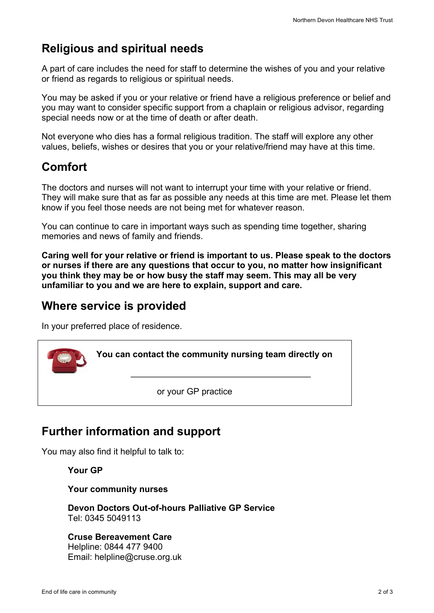# **Religious and spiritual needs**

A part of care includes the need for staff to determine the wishes of you and your relative or friend as regards to religious or spiritual needs.

You may be asked if you or your relative or friend have a religious preference or belief and you may want to consider specific support from a chaplain or religious advisor, regarding special needs now or at the time of death or after death.

Not everyone who dies has a formal religious tradition. The staff will explore any other values, beliefs, wishes or desires that you or your relative/friend may have at this time.

### **Comfort**

The doctors and nurses will not want to interrupt your time with your relative or friend. They will make sure that as far as possible any needs at this time are met. Please let them know if you feel those needs are not being met for whatever reason.

You can continue to care in important ways such as spending time together, sharing memories and news of family and friends.

**Caring well for your relative or friend is important to us. Please speak to the doctors or nurses if there are any questions that occur to you, no matter how insignificant you think they may be or how busy the staff may seem. This may all be very unfamiliar to you and we are here to explain, support and care.**

### **Where service is provided**

In your preferred place of residence.

**You can contact the community nursing team directly on**

\_\_\_\_\_\_\_\_\_\_\_\_\_\_\_\_\_\_\_\_\_\_\_\_\_\_\_\_\_\_\_\_\_\_\_\_\_

or your GP practice

## **Further information and support**

You may also find it helpful to talk to:

**Your GP**

**Your community nurses**

**Devon Doctors Out-of-hours Palliative GP Service** Tel: 0345 5049113

**Cruse Bereavement Care** Helpline: 0844 477 9400 Email: helpline@cruse.org.uk